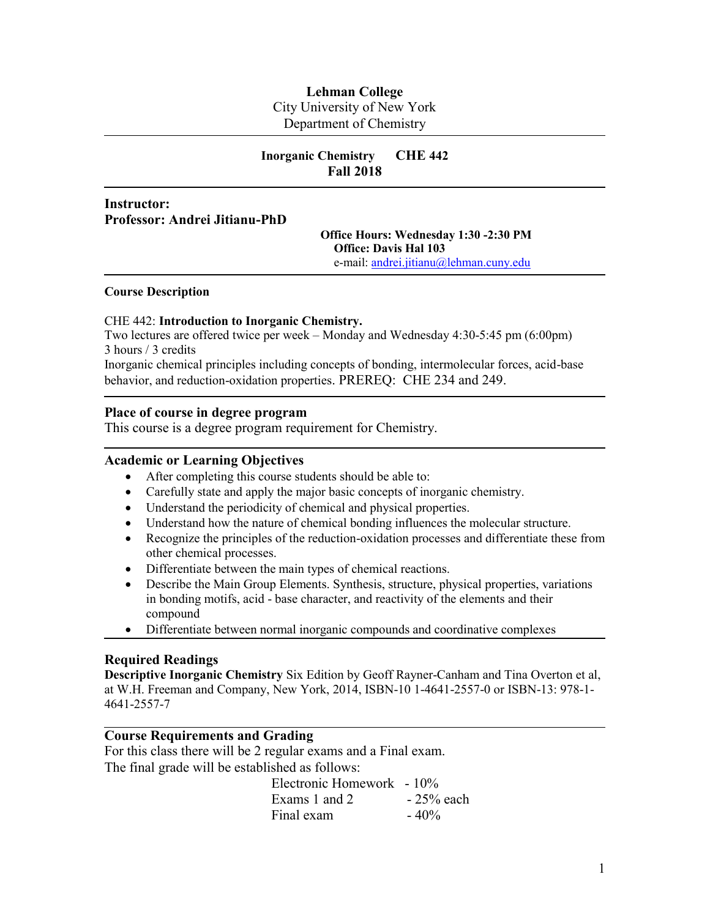# **Lehman College** City University of New York Department of Chemistry

# **Inorganic Chemistry CHE 442 Fall 2018**

# **Instructor: Professor: Andrei Jitianu-PhD**

## **Office Hours: Wednesday 1:30 -2:30 PM Office: Davis Hal 103** e-mail: [andrei.jitianu@lehman.cuny.edu](mailto:andrei.jitianu@lehman.cuny.edu)

#### **Course Description**

## CHE 442: **Introduction to Inorganic Chemistry.**

Two lectures are offered twice per week – Monday and Wednesday 4:30-5:45 pm (6:00pm) 3 hours / 3 credits

Inorganic chemical principles including concepts of bonding, intermolecular forces, acid-base behavior, and reduction-oxidation properties. PREREQ: CHE 234 and 249.

## **Place of course in degree program**

This course is a degree program requirement for Chemistry.

# **Academic or Learning Objectives**

- After completing this course students should be able to:
- Carefully state and apply the major basic concepts of inorganic chemistry.
- Understand the periodicity of chemical and physical properties.
- Understand how the nature of chemical bonding influences the molecular structure.
- Recognize the principles of the reduction-oxidation processes and differentiate these from other chemical processes.
- Differentiate between the main types of chemical reactions.
- Describe the Main Group Elements. Synthesis, structure, physical properties, variations in bonding motifs, acid - base character, and reactivity of the elements and their compound
- Differentiate between normal inorganic compounds and coordinative complexes

## **Required Readings**

**Descriptive Inorganic Chemistry** Six Edition by Geoff Rayner-Canham and Tina Overton et al, at W.H. Freeman and Company, New York, 2014, ISBN-10 1-4641-2557-0 or ISBN-13: 978-1- 4641-2557-7

# **Course Requirements and Grading**

For this class there will be 2 regular exams and a Final exam. The final grade will be established as follows:

Electronic Homework - 10% Exams 1 and 2  $-25%$  each Final exam  $-40\%$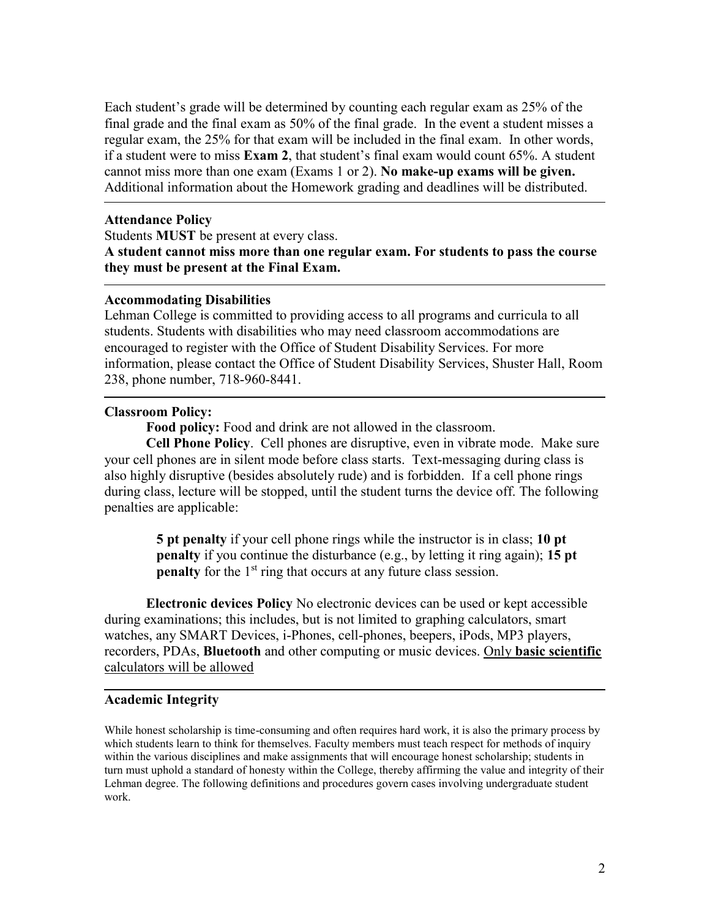Each student's grade will be determined by counting each regular exam as 25% of the final grade and the final exam as 50% of the final grade. In the event a student misses a regular exam, the 25% for that exam will be included in the final exam. In other words, if a student were to miss **Exam 2**, that student's final exam would count 65%. A student cannot miss more than one exam (Exams 1 or 2). **No make-up exams will be given.** Additional information about the Homework grading and deadlines will be distributed.

## **Attendance Policy**

Students **MUST** be present at every class. **A student cannot miss more than one regular exam. For students to pass the course they must be present at the Final Exam.**

## **Accommodating Disabilities**

Lehman College is committed to providing access to all programs and curricula to all students. Students with disabilities who may need classroom accommodations are encouraged to register with the Office of Student Disability Services. For more information, please contact the Office of Student Disability Services, Shuster Hall, Room 238, phone number, 718-960-8441.

## **Classroom Policy:**

**Food policy:** Food and drink are not allowed in the classroom.

**Cell Phone Policy**. Cell phones are disruptive, even in vibrate mode. Make sure your cell phones are in silent mode before class starts. Text-messaging during class is also highly disruptive (besides absolutely rude) and is forbidden. If a cell phone rings during class, lecture will be stopped, until the student turns the device off. The following penalties are applicable:

> **5 pt penalty** if your cell phone rings while the instructor is in class; **10 pt penalty** if you continue the disturbance (e.g., by letting it ring again); **15 pt penalty** for the 1<sup>st</sup> ring that occurs at any future class session.

**Electronic devices Policy** No electronic devices can be used or kept accessible during examinations; this includes, but is not limited to graphing calculators, smart watches, any SMART Devices, i-Phones, cell-phones, beepers, iPods, MP3 players, recorders, PDAs, **Bluetooth** and other computing or music devices. Only **basic scientific** calculators will be allowed

## **Academic Integrity**

While honest scholarship is time-consuming and often requires hard work, it is also the primary process by which students learn to think for themselves. Faculty members must teach respect for methods of inquiry within the various disciplines and make assignments that will encourage honest scholarship; students in turn must uphold a standard of honesty within the College, thereby affirming the value and integrity of their Lehman degree. The following definitions and procedures govern cases involving undergraduate student work.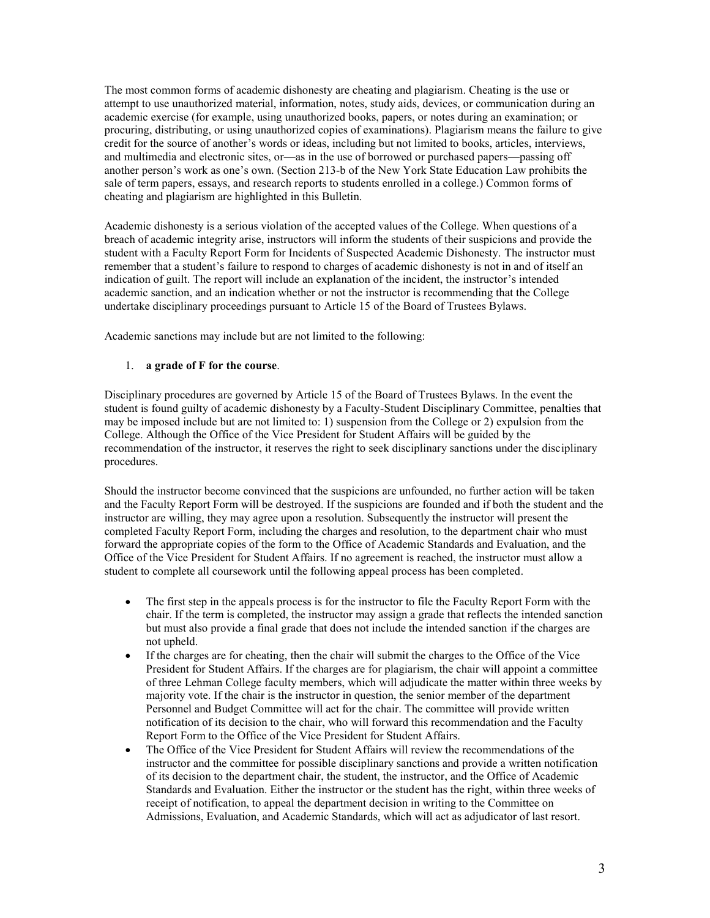The most common forms of academic dishonesty are cheating and plagiarism. Cheating is the use or attempt to use unauthorized material, information, notes, study aids, devices, or communication during an academic exercise (for example, using unauthorized books, papers, or notes during an examination; or procuring, distributing, or using unauthorized copies of examinations). Plagiarism means the failure to give credit for the source of another's words or ideas, including but not limited to books, articles, interviews, and multimedia and electronic sites, or—as in the use of borrowed or purchased papers—passing off another person's work as one's own. (Section 213-b of the New York State Education Law prohibits the sale of term papers, essays, and research reports to students enrolled in a college.) Common forms of cheating and plagiarism are highlighted in this Bulletin.

Academic dishonesty is a serious violation of the accepted values of the College. When questions of a breach of academic integrity arise, instructors will inform the students of their suspicions and provide the student with a Faculty Report Form for Incidents of Suspected Academic Dishonesty. The instructor must remember that a student's failure to respond to charges of academic dishonesty is not in and of itself an indication of guilt. The report will include an explanation of the incident, the instructor's intended academic sanction, and an indication whether or not the instructor is recommending that the College undertake disciplinary proceedings pursuant to Article 15 of the Board of Trustees Bylaws.

Academic sanctions may include but are not limited to the following:

#### 1. **a grade of F for the course**.

Disciplinary procedures are governed by Article 15 of the Board of Trustees Bylaws. In the event the student is found guilty of academic dishonesty by a Faculty-Student Disciplinary Committee, penalties that may be imposed include but are not limited to: 1) suspension from the College or 2) expulsion from the College. Although the Office of the Vice President for Student Affairs will be guided by the recommendation of the instructor, it reserves the right to seek disciplinary sanctions under the disciplinary procedures.

Should the instructor become convinced that the suspicions are unfounded, no further action will be taken and the Faculty Report Form will be destroyed. If the suspicions are founded and if both the student and the instructor are willing, they may agree upon a resolution. Subsequently the instructor will present the completed Faculty Report Form, including the charges and resolution, to the department chair who must forward the appropriate copies of the form to the Office of Academic Standards and Evaluation, and the Office of the Vice President for Student Affairs. If no agreement is reached, the instructor must allow a student to complete all coursework until the following appeal process has been completed.

- The first step in the appeals process is for the instructor to file the Faculty Report Form with the chair. If the term is completed, the instructor may assign a grade that reflects the intended sanction but must also provide a final grade that does not include the intended sanction if the charges are not upheld.
- If the charges are for cheating, then the chair will submit the charges to the Office of the Vice President for Student Affairs. If the charges are for plagiarism, the chair will appoint a committee of three Lehman College faculty members, which will adjudicate the matter within three weeks by majority vote. If the chair is the instructor in question, the senior member of the department Personnel and Budget Committee will act for the chair. The committee will provide written notification of its decision to the chair, who will forward this recommendation and the Faculty Report Form to the Office of the Vice President for Student Affairs.
- The Office of the Vice President for Student Affairs will review the recommendations of the instructor and the committee for possible disciplinary sanctions and provide a written notification of its decision to the department chair, the student, the instructor, and the Office of Academic Standards and Evaluation. Either the instructor or the student has the right, within three weeks of receipt of notification, to appeal the department decision in writing to the Committee on Admissions, Evaluation, and Academic Standards, which will act as adjudicator of last resort.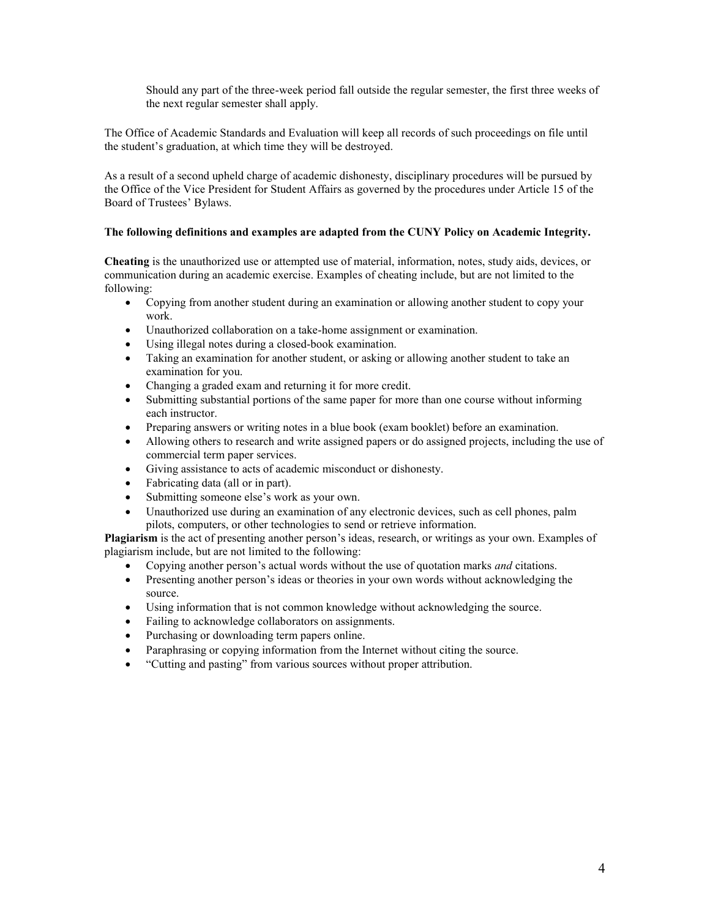Should any part of the three-week period fall outside the regular semester, the first three weeks of the next regular semester shall apply.

The Office of Academic Standards and Evaluation will keep all records of such proceedings on file until the student's graduation, at which time they will be destroyed.

As a result of a second upheld charge of academic dishonesty, disciplinary procedures will be pursued by the Office of the Vice President for Student Affairs as governed by the procedures under Article 15 of the Board of Trustees' Bylaws.

## **The following definitions and examples are adapted from the CUNY Policy on Academic Integrity.**

**Cheating** is the unauthorized use or attempted use of material, information, notes, study aids, devices, or communication during an academic exercise. Examples of cheating include, but are not limited to the following:

- Copying from another student during an examination or allowing another student to copy your work.
- Unauthorized collaboration on a take-home assignment or examination.
- Using illegal notes during a closed-book examination.
- Taking an examination for another student, or asking or allowing another student to take an examination for you.
- Changing a graded exam and returning it for more credit.
- Submitting substantial portions of the same paper for more than one course without informing each instructor.
- Preparing answers or writing notes in a blue book (exam booklet) before an examination.
- Allowing others to research and write assigned papers or do assigned projects, including the use of commercial term paper services.
- Giving assistance to acts of academic misconduct or dishonesty.
- Fabricating data (all or in part).
- Submitting someone else's work as your own.
- Unauthorized use during an examination of any electronic devices, such as cell phones, palm pilots, computers, or other technologies to send or retrieve information.

**Plagiarism** is the act of presenting another person's ideas, research, or writings as your own. Examples of plagiarism include, but are not limited to the following:

- Copying another person's actual words without the use of quotation marks *and* citations.
- Presenting another person's ideas or theories in your own words without acknowledging the source.
- Using information that is not common knowledge without acknowledging the source.
- Failing to acknowledge collaborators on assignments.
- Purchasing or downloading term papers online.
- Paraphrasing or copying information from the Internet without citing the source.
- "Cutting and pasting" from various sources without proper attribution.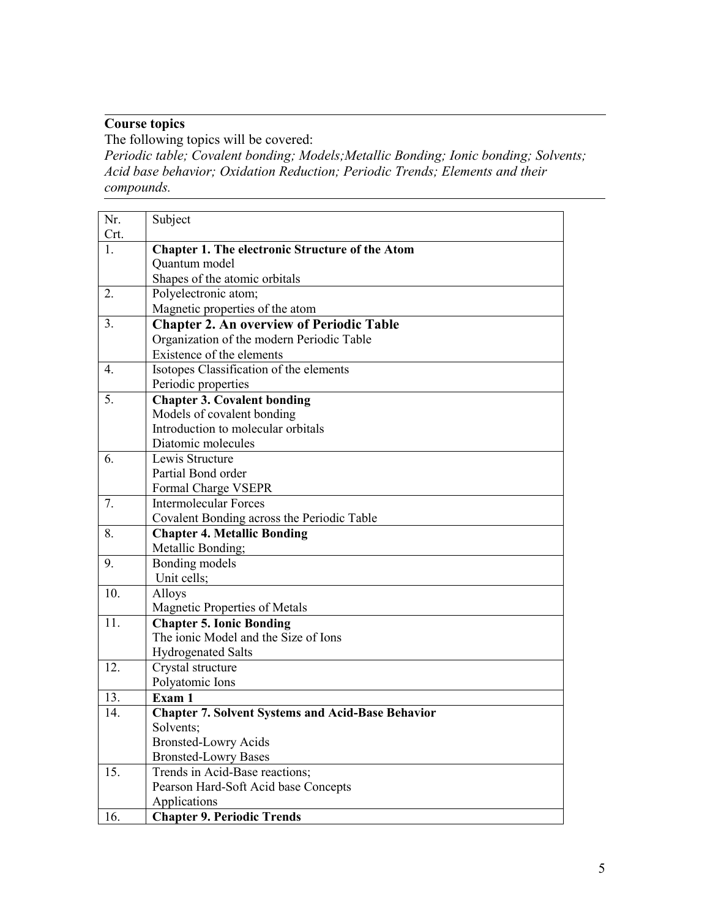# **Course topics**

The following topics will be covered: *Periodic table; Covalent bonding; Models;Metallic Bonding; Ionic bonding; Solvents; Acid base behavior; Oxidation Reduction; Periodic Trends; Elements and their compounds.*

| Nr.              | Subject                                                  |
|------------------|----------------------------------------------------------|
| Crt.<br>1.       | <b>Chapter 1. The electronic Structure of the Atom</b>   |
|                  | Quantum model                                            |
|                  | Shapes of the atomic orbitals                            |
| 2.               | Polyelectronic atom;                                     |
|                  | Magnetic properties of the atom                          |
| 3.               | <b>Chapter 2. An overview of Periodic Table</b>          |
|                  | Organization of the modern Periodic Table                |
|                  | Existence of the elements                                |
| $\overline{4}$ . | Isotopes Classification of the elements                  |
|                  | Periodic properties                                      |
| 5.               | <b>Chapter 3. Covalent bonding</b>                       |
|                  | Models of covalent bonding                               |
|                  | Introduction to molecular orbitals                       |
|                  | Diatomic molecules                                       |
| 6.               | Lewis Structure                                          |
|                  | Partial Bond order                                       |
|                  | Formal Charge VSEPR                                      |
| 7.               | <b>Intermolecular Forces</b>                             |
|                  | Covalent Bonding across the Periodic Table               |
| 8.               | <b>Chapter 4. Metallic Bonding</b>                       |
|                  | Metallic Bonding;                                        |
| 9.               | Bonding models                                           |
|                  | Unit cells;                                              |
| 10.              | Alloys                                                   |
|                  | Magnetic Properties of Metals                            |
| 11.              | <b>Chapter 5. Ionic Bonding</b>                          |
|                  | The ionic Model and the Size of Ions                     |
|                  | <b>Hydrogenated Salts</b>                                |
| 12.              | Crystal structure                                        |
|                  | Polyatomic Ions                                          |
| 13.              | Exam 1                                                   |
| 14.              | <b>Chapter 7. Solvent Systems and Acid-Base Behavior</b> |
|                  | Solvents;                                                |
|                  | <b>Bronsted-Lowry Acids</b>                              |
|                  | <b>Bronsted-Lowry Bases</b>                              |
| 15.              | Trends in Acid-Base reactions;                           |
|                  | Pearson Hard-Soft Acid base Concepts                     |
|                  | Applications                                             |
| 16.              | <b>Chapter 9. Periodic Trends</b>                        |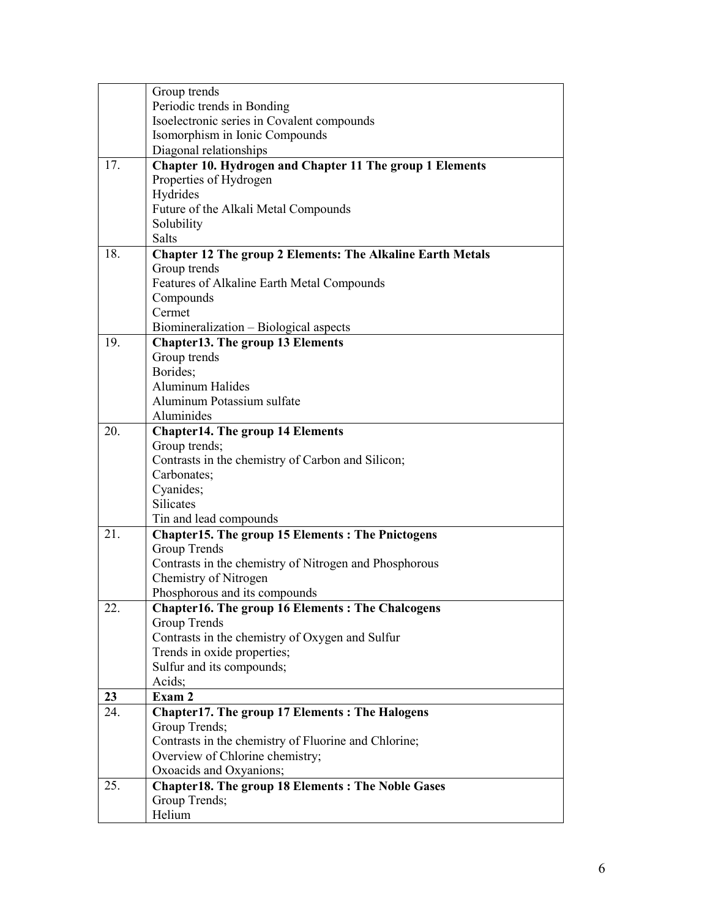|     | Group trends                                                      |
|-----|-------------------------------------------------------------------|
|     | Periodic trends in Bonding                                        |
|     | Isoelectronic series in Covalent compounds                        |
|     | Isomorphism in Ionic Compounds                                    |
|     | Diagonal relationships                                            |
| 17. | Chapter 10. Hydrogen and Chapter 11 The group 1 Elements          |
|     | Properties of Hydrogen                                            |
|     | Hydrides                                                          |
|     | Future of the Alkali Metal Compounds                              |
|     | Solubility                                                        |
|     | <b>Salts</b>                                                      |
| 18. | <b>Chapter 12 The group 2 Elements: The Alkaline Earth Metals</b> |
|     | Group trends                                                      |
|     | Features of Alkaline Earth Metal Compounds                        |
|     | Compounds                                                         |
|     | Cermet                                                            |
|     | Biomineralization - Biological aspects                            |
| 19. | <b>Chapter13. The group 13 Elements</b>                           |
|     | Group trends                                                      |
|     | Borides;                                                          |
|     | <b>Aluminum Halides</b>                                           |
|     | Aluminum Potassium sulfate                                        |
|     | Aluminides                                                        |
| 20. | <b>Chapter14. The group 14 Elements</b>                           |
|     | Group trends;                                                     |
|     | Contrasts in the chemistry of Carbon and Silicon;                 |
|     | Carbonates;                                                       |
|     | Cyanides;                                                         |
|     | <b>Silicates</b>                                                  |
|     | Tin and lead compounds                                            |
| 21. | <b>Chapter15. The group 15 Elements: The Pnictogens</b>           |
|     | <b>Group Trends</b>                                               |
|     | Contrasts in the chemistry of Nitrogen and Phosphorous            |
|     | Chemistry of Nitrogen                                             |
|     | Phosphorous and its compounds                                     |
| 22. | <b>Chapter16. The group 16 Elements: The Chalcogens</b>           |
|     | Group Trends                                                      |
|     | Contrasts in the chemistry of Oxygen and Sulfur                   |
|     | Trends in oxide properties;                                       |
|     | Sulfur and its compounds;                                         |
|     | Acids;                                                            |
| 23  | Exam 2                                                            |
| 24. | <b>Chapter17. The group 17 Elements: The Halogens</b>             |
|     | Group Trends;                                                     |
|     | Contrasts in the chemistry of Fluorine and Chlorine;              |
|     | Overview of Chlorine chemistry;                                   |
|     | Oxoacids and Oxyanions;                                           |
| 25. | <b>Chapter18. The group 18 Elements: The Noble Gases</b>          |
|     | Group Trends;                                                     |
|     | Helium                                                            |